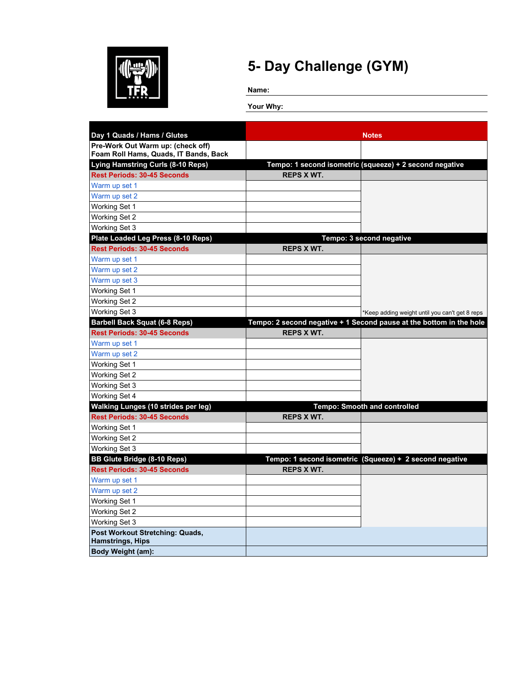

**Name:**

| Day 1 Quads / Hams / Glutes                                |                   | <b>Notes</b>                                                        |
|------------------------------------------------------------|-------------------|---------------------------------------------------------------------|
| Pre-Work Out Warm up: (check off)                          |                   |                                                                     |
| Foam Roll Hams, Quads, IT Bands, Back                      |                   |                                                                     |
| <b>Lying Hamstring Curls (8-10 Reps)</b>                   |                   | Tempo: 1 second isometric (squeeze) + 2 second negative             |
| <b>Rest Periods: 30-45 Seconds</b>                         | <b>REPS X WT.</b> |                                                                     |
| Warm up set 1                                              |                   |                                                                     |
| Warm up set 2                                              |                   |                                                                     |
| Working Set 1                                              |                   |                                                                     |
| Working Set 2                                              |                   |                                                                     |
| Working Set 3                                              |                   |                                                                     |
| Plate Loaded Leg Press (8-10 Reps)                         |                   | Tempo: 3 second negative                                            |
| <b>Rest Periods: 30-45 Seconds</b>                         | <b>REPS X WT.</b> |                                                                     |
| Warm up set 1                                              |                   |                                                                     |
| Warm up set 2                                              |                   |                                                                     |
| Warm up set 3                                              |                   |                                                                     |
| Working Set 1                                              |                   |                                                                     |
| Working Set 2                                              |                   |                                                                     |
| Working Set 3                                              |                   | *Keep adding weight until you can't get 8 reps                      |
| <b>Barbell Back Squat (6-8 Reps)</b>                       |                   | Tempo: 2 second negative + 1 Second pause at the bottom in the hole |
| <b>Rest Periods: 30-45 Seconds</b>                         | <b>REPS X WT.</b> |                                                                     |
| Warm up set 1                                              |                   |                                                                     |
| Warm up set 2                                              |                   |                                                                     |
| Working Set 1                                              |                   |                                                                     |
| Working Set 2                                              |                   |                                                                     |
| Working Set 3                                              |                   |                                                                     |
| Working Set 4                                              |                   |                                                                     |
| <b>Walking Lunges (10 strides per leg)</b>                 |                   | <b>Tempo: Smooth and controlled</b>                                 |
| <b>Rest Periods: 30-45 Seconds</b>                         | <b>REPS X WT.</b> |                                                                     |
| Working Set 1                                              |                   |                                                                     |
| Working Set 2                                              |                   |                                                                     |
| Working Set 3                                              |                   |                                                                     |
| <b>BB Glute Bridge (8-10 Reps)</b>                         |                   | Tempo: 1 second isometric (Squeeze) + 2 second negative             |
| <b>Rest Periods: 30-45 Seconds</b>                         | <b>REPS X WT.</b> |                                                                     |
| Warm up set 1                                              |                   |                                                                     |
| Warm up set 2                                              |                   |                                                                     |
| Working Set 1                                              |                   |                                                                     |
| Working Set 2                                              |                   |                                                                     |
| Working Set 3                                              |                   |                                                                     |
| Post Workout Stretching: Quads,<br><b>Hamstrings, Hips</b> |                   |                                                                     |
| <b>Body Weight (am):</b>                                   |                   |                                                                     |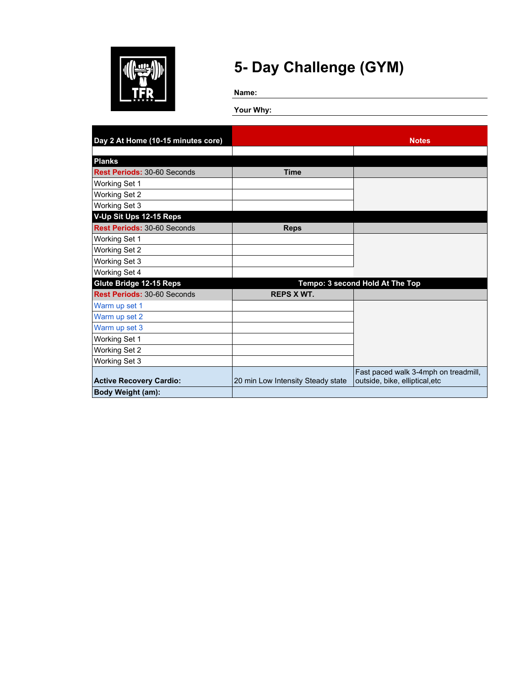

**Name:**

| Day 2 At Home (10-15 minutes core) |                                   | <b>Notes</b>                         |
|------------------------------------|-----------------------------------|--------------------------------------|
|                                    |                                   |                                      |
| <b>Planks</b>                      |                                   |                                      |
| <b>Rest Periods: 30-60 Seconds</b> | <b>Time</b>                       |                                      |
| Working Set 1                      |                                   |                                      |
| Working Set 2                      |                                   |                                      |
| Working Set 3                      |                                   |                                      |
| V-Up Sit Ups 12-15 Reps            |                                   |                                      |
| <b>Rest Periods: 30-60 Seconds</b> | <b>Reps</b>                       |                                      |
| Working Set 1                      |                                   |                                      |
| <b>Working Set 2</b>               |                                   |                                      |
| Working Set 3                      |                                   |                                      |
| Working Set 4                      |                                   |                                      |
| Glute Bridge 12-15 Reps            |                                   | Tempo: 3 second Hold At The Top      |
| <b>Rest Periods: 30-60 Seconds</b> | <b>REPS X WT.</b>                 |                                      |
| Warm up set 1                      |                                   |                                      |
| Warm up set 2                      |                                   |                                      |
| Warm up set 3                      |                                   |                                      |
| Working Set 1                      |                                   |                                      |
| Working Set 2                      |                                   |                                      |
| Working Set 3                      |                                   |                                      |
|                                    |                                   | Fast paced walk 3-4mph on treadmill, |
| <b>Active Recovery Cardio:</b>     | 20 min Low Intensity Steady state | outside, bike, elliptical, etc       |
| Body Weight (am):                  |                                   |                                      |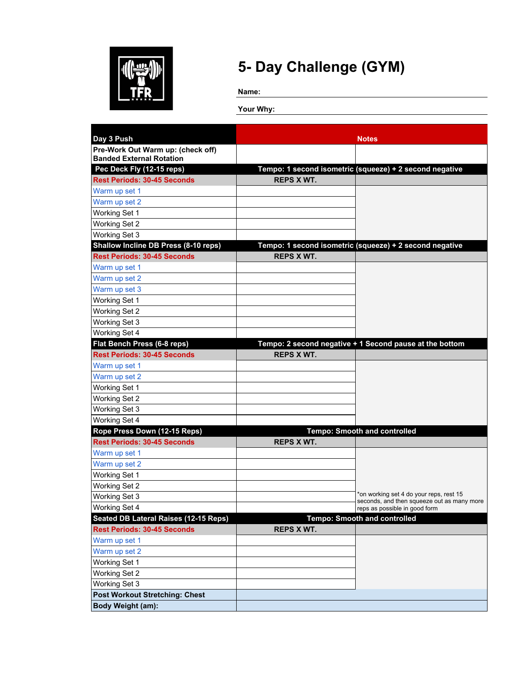

**Name:**

| Day 3 Push                            |                   | <b>Notes</b>                                                                          |
|---------------------------------------|-------------------|---------------------------------------------------------------------------------------|
| Pre-Work Out Warm up: (check off)     |                   |                                                                                       |
| <b>Banded External Rotation</b>       |                   |                                                                                       |
| Pec Deck Fly (12-15 reps)             |                   | Tempo: 1 second isometric (squeeze) + 2 second negative                               |
| <b>Rest Periods: 30-45 Seconds</b>    | <b>REPS X WT.</b> |                                                                                       |
| Warm up set 1                         |                   |                                                                                       |
| Warm up set 2                         |                   |                                                                                       |
| Working Set 1                         |                   |                                                                                       |
| Working Set 2                         |                   |                                                                                       |
| Working Set 3                         |                   |                                                                                       |
| Shallow Incline DB Press (8-10 reps)  |                   | Tempo: 1 second isometric (squeeze) + 2 second negative                               |
| <b>Rest Periods: 30-45 Seconds</b>    | <b>REPS X WT.</b> |                                                                                       |
| Warm up set 1                         |                   |                                                                                       |
| Warm up set 2                         |                   |                                                                                       |
| Warm up set 3                         |                   |                                                                                       |
| Working Set 1                         |                   |                                                                                       |
| Working Set 2                         |                   |                                                                                       |
| Working Set 3                         |                   |                                                                                       |
| Working Set 4                         |                   |                                                                                       |
| Flat Bench Press (6-8 reps)           |                   | Tempo: 2 second negative + 1 Second pause at the bottom                               |
| <b>Rest Periods: 30-45 Seconds</b>    | <b>REPS X WT.</b> |                                                                                       |
| Warm up set 1                         |                   |                                                                                       |
| Warm up set 2                         |                   |                                                                                       |
| Working Set 1                         |                   |                                                                                       |
| Working Set 2                         |                   |                                                                                       |
| Working Set 3                         |                   |                                                                                       |
| Working Set 4                         |                   |                                                                                       |
| Rope Press Down (12-15 Reps)          |                   | <b>Tempo: Smooth and controlled</b>                                                   |
| <b>Rest Periods: 30-45 Seconds</b>    | <b>REPS X WT.</b> |                                                                                       |
| Warm up set 1                         |                   |                                                                                       |
| Warm up set 2                         |                   |                                                                                       |
| Working Set 1                         |                   |                                                                                       |
| <b>Working Set 2</b>                  |                   |                                                                                       |
| Working Set 3                         |                   | on working set 4 do your reps, rest 15*<br>seconds, and then squeeze out as many more |
| Working Set 4                         |                   | reps as possible in good form                                                         |
| Seated DB Lateral Raises (12-15 Reps) |                   | <b>Tempo: Smooth and controlled</b>                                                   |
| <b>Rest Periods: 30-45 Seconds</b>    | <b>REPS X WT.</b> |                                                                                       |
| Warm up set 1                         |                   |                                                                                       |
| Warm up set 2                         |                   |                                                                                       |
| Working Set 1                         |                   |                                                                                       |
| Working Set 2                         |                   |                                                                                       |
| Working Set 3                         |                   |                                                                                       |
| <b>Post Workout Stretching: Chest</b> |                   |                                                                                       |
| Body Weight (am):                     |                   |                                                                                       |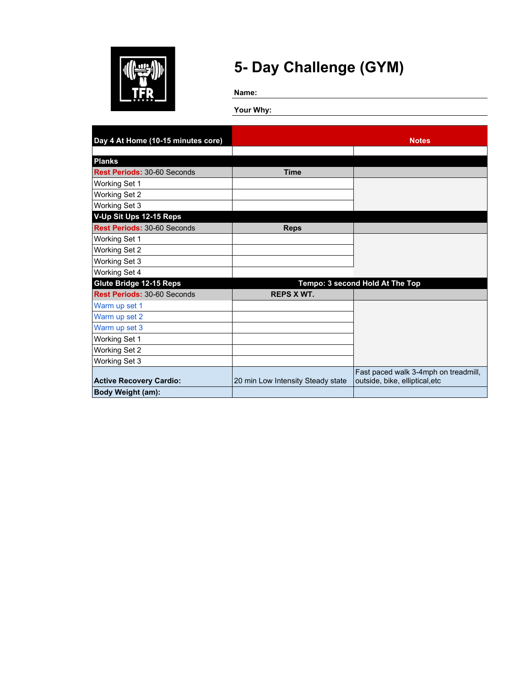

**Name:**

| Day 4 At Home (10-15 minutes core) |                                   | <b>Notes</b>                         |
|------------------------------------|-----------------------------------|--------------------------------------|
|                                    |                                   |                                      |
| <b>Planks</b>                      |                                   |                                      |
| <b>Rest Periods: 30-60 Seconds</b> | <b>Time</b>                       |                                      |
| Working Set 1                      |                                   |                                      |
| <b>Working Set 2</b>               |                                   |                                      |
| Working Set 3                      |                                   |                                      |
| V-Up Sit Ups 12-15 Reps            |                                   |                                      |
| <b>Rest Periods: 30-60 Seconds</b> | <b>Reps</b>                       |                                      |
| Working Set 1                      |                                   |                                      |
| Working Set 2                      |                                   |                                      |
| Working Set 3                      |                                   |                                      |
| Working Set 4                      |                                   |                                      |
| Glute Bridge 12-15 Reps            |                                   | Tempo: 3 second Hold At The Top      |
| <b>Rest Periods: 30-60 Seconds</b> | <b>REPS X WT.</b>                 |                                      |
| Warm up set 1                      |                                   |                                      |
| Warm up set 2                      |                                   |                                      |
| Warm up set 3                      |                                   |                                      |
| Working Set 1                      |                                   |                                      |
| Working Set 2                      |                                   |                                      |
| Working Set 3                      |                                   |                                      |
|                                    |                                   | Fast paced walk 3-4mph on treadmill, |
| <b>Active Recovery Cardio:</b>     | 20 min Low Intensity Steady state | outside, bike, elliptical, etc       |
| Body Weight (am):                  |                                   |                                      |